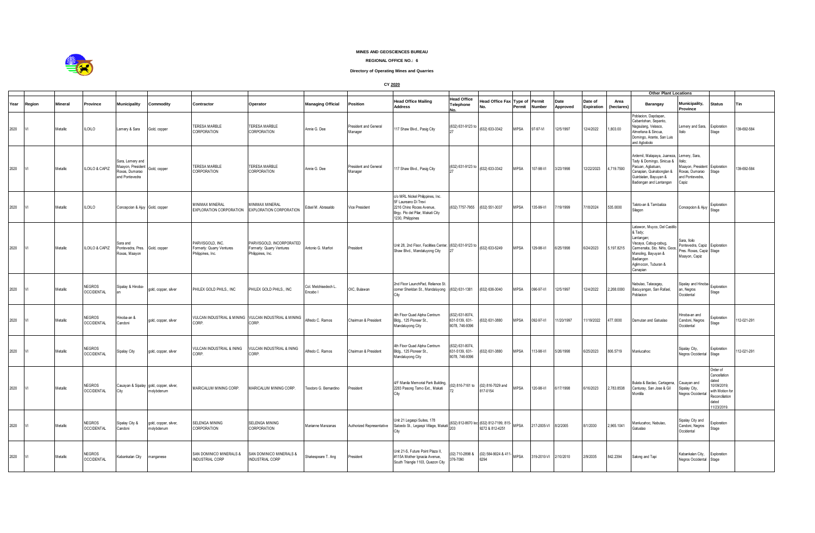

## **MINES AND GEOSCIENCES BUREAU**

## **REGIONAL OFFICE NO.: 6**

## **Directory of Operating Mines and Quarries**

**CY 2020**

|      |        |                |                                    |                                                                           |                                                       |                                                                    |                                                                            |                                  |                                  |                                                                                                                                               |                                                     |                                                           |                |               | <b>Other Plant Locations</b> |                       |                    |                                                                                                                                                                                        |                                                                                            |                                                                                                            |             |
|------|--------|----------------|------------------------------------|---------------------------------------------------------------------------|-------------------------------------------------------|--------------------------------------------------------------------|----------------------------------------------------------------------------|----------------------------------|----------------------------------|-----------------------------------------------------------------------------------------------------------------------------------------------|-----------------------------------------------------|-----------------------------------------------------------|----------------|---------------|------------------------------|-----------------------|--------------------|----------------------------------------------------------------------------------------------------------------------------------------------------------------------------------------|--------------------------------------------------------------------------------------------|------------------------------------------------------------------------------------------------------------|-------------|
| Year | Region | <b>Mineral</b> | Province                           | <b>Municipality</b>                                                       | Commodity                                             | Contractor                                                         | Operator                                                                   | <b>Managing Official</b>         | Position                         | <b>Head Office Mailing</b><br><b>Address</b>                                                                                                  | Head Office<br>Telephone                            | lead Office Fax<br>Nn                                     | Type of Permit | Permit Number | Date<br>Approved             | Date of<br>Expiration | Area<br>(hectares) | Barangay                                                                                                                                                                               | Municipality,<br>Province                                                                  | <b>Status</b>                                                                                              | Tin         |
| 2020 |        | Metallic       | <b>ILOILO</b>                      | Lemery & Sara                                                             | Gold, copper                                          | <b>TERESA MARBLE</b><br>CORPORATION                                | TERESA MARBLE<br>CORPORATION                                               | Annie G. Dee                     | President and General<br>Manager | 117 Shaw Blvd., Pasig City                                                                                                                    | (632) 631-9123 to                                   | (632) 633-3342                                            | MPSA           | 97-97-VI      | 12/5/1997                    | 12/4/2022             | 1,803.00           | Poblacion, Dapdapan,<br>Cabantohan, Sepanto,<br>Nagsulang, Velasco,<br>Almeñana & Sincua,<br>Domingo, Arante, San Luis<br>and Agbobolo                                                 | Lemery and Sara,<br>Iniln                                                                  | Exploration<br>Stage                                                                                       | 139-692-584 |
| 2020 |        | Metallic       | ILOILO & CAPIZ                     | Sara, Lemery and<br>Maayon, President<br>Roxas, Dumarao<br>and Pontevedra | Gold, copper                                          | TERESA MARBLE<br>CORPORATION                                       | TERESA MARBLE<br>CORPORATION                                               | Annie G. Dee                     | President and General<br>Manager | 117 Shaw Blvd., Pasig City                                                                                                                    | (632) 631-9123 to                                   | (632) 633-3342                                            | MPSA           | 107-98-VI     | 3/23/1998                    | 12/22/2023            | 4,719.7500         | Ardemil, Malapaya, Juaneza, Lemery, Sara,<br>Tady & Domingo, Sinicua &<br>Pacuan, Agbatuan,<br>Canapian, Quinabonglan &<br>Guinbialan, Bayuyan &<br>Badiongan and Lantangan            | lloilo;<br>Maayon, President<br>Roxas, Dumarao<br>and Pontevedra,<br>Capiz                 | Exploration<br>Stage                                                                                       | 39-692-584  |
| 2020 |        | Metallic       | <b>ILOILO</b>                      | Concepcion & Ajuy Gold, copper                                            |                                                       | MINIMAX MINERAL<br>EXPLORATION CORPORATION                         | <b>IINIMAX MINERAL</b><br>EXPLORATION CORPORATION                          | Edsel M. Abrasaldo               | Vice President                   | c/o MRL Nickel Philippines, Inc.<br>5F Laureano Di Trevi<br>2216 Chino Roces Avenue,<br>Brgy. Pio del Pilar, Makati City<br>1230, Philippines | (632) 7757-7955                                     | (632) 551-3037                                            | MPSA           | 135-99-VI     | 7/19/1999                    | /18/2024              | 535.0000           | Taloto-an & Tambaliza<br>Silagon                                                                                                                                                       | Concepcion & Ajuy                                                                          | Exploration<br>Stage                                                                                       |             |
| 2020 |        | Metallic       | LOILO & CAPIZ                      | Sara and<br>Pontevedra, Pres.<br>Roxas, Maayon                            | Gold, copper                                          | PARVISGOLD, INC.<br>Formerly: Quarry Ventures<br>Philippines, Inc. | PARVISGOLD, INCORPORATED<br>Formerly: Quarry Ventures<br>Philippines, Inc. | Antonio G. Marfori               | President                        | Unit 28, 2nd Floor, Facilities Center, (632) 631-9123 to<br>Shaw Blvd., Mandaluyong City                                                      |                                                     | (632) 633-5249                                            | MPSA           | 129-98-VI     | 6/25/1998                    | 6/24/2023             | 5,197.8215         | Latawon, Muyco, Del Castillo<br>& Tady;<br>Lantangan;<br>Viscaya, Cabug-cabug,<br>Carmensita, Sto. Niño, Goce.<br>Manoling, Bayuyan &<br>Badiangon<br>Aglimocon, Tuburan &<br>Canapian | Sara, Iloilo<br>Pontevedra, Capiz Exploration<br>Pres. Roxas, Capiz Stage<br>Maayon, Capiz |                                                                                                            |             |
| 2020 |        | Metallic       | <b>NEGROS</b><br><b>OCCIDENTAL</b> | Sipalay & Hinoba-                                                         | gold, copper, silver                                  | PHILEX GOLD PHILS., INC                                            | PHILEX GOLD PHILS., INC                                                    | Col. Melchisedech L.<br>Encabo I | OIC, Bulawan                     | 2nd Floor LaunchPad, Reliance St.<br>corner Sheridan St., Mandaluyong<br>City                                                                 | (632) 631-1381                                      | (632) 636-3040                                            | MPSA           | 096-97-VI     | 12/5/1997                    | 12/4/2022             | 2,268.0000         | Nabulao, Talacagay,<br>Bacuyangan, San Rafael,<br>Poblacion                                                                                                                            | Sipalay and Hinoba<br>an, Negros<br>Occidental                                             | Exploration<br>Stage                                                                                       |             |
| 2020 |        | Metallic       | <b>NEGROS</b><br><b>OCCIDENTAL</b> | Hinoba-an &<br>Candoni                                                    | gold, copper, silver                                  | VULCAN INDUSTRIAL & MINING VULCAN INDUSTRIAL & MINING<br>CORP.     | CORP.                                                                      | Alfredo C. Ramos                 | Chairman & President             | 4th Floor Quad Alpha Centrum<br>Bldg., 125 Pioneer St.,<br>Mandaluyong City                                                                   | 632) 631-8074.<br>631-5139, 631-<br>8078, 746-9396  | (632) 631-3880                                            | MPSA           | 092-97-VI     | 11/20/1997                   | 1/19/2022             | 477.0000           | Damutan and Gatuslao                                                                                                                                                                   | Hinoba-an and<br>Candoni, Negros<br>Occidental                                             | xploration<br>Stage                                                                                        | 12-021-291  |
| 2020 |        | Metallic       | <b>NEGROS</b><br><b>OCCIDENTAL</b> | Sipalay City                                                              | gold, copper, silver                                  | VULCAN INDUSTRIAL & INING<br>CORP.                                 | VULCAN INDUSTRIAL & INING<br>CORP.                                         | Alfredo C. Ramos                 | Chairman & President             | 4th Floor Quad Alpha Centrum<br>Bldg., 125 Pioneer St.,<br>Mandaluyong City                                                                   | (632) 631-8074.<br>631-5139, 631-<br>8078, 746-9396 | (632) 631-3880                                            | MPSA           | 113-98-VI     | 5/26/1998                    | 6/25/2023             | 806.5719           | Manlucahoc                                                                                                                                                                             | Sipalay City,<br>Negros Occidental                                                         | Exploration<br>Stage                                                                                       | 12-021-291  |
| 2020 |        | Metallic       | <b>NEGROS</b><br><b>OCCIDENTAL</b> | City                                                                      | Cauayan & Sipalay gold, copper, silver,<br>molybdenum | MARICALUM MINING CORP.                                             | MARICALUM MINING CORP.                                                     | Teodoro G. Bernardino            | President                        | 4/F Manila Memorial Park Building,<br>2283 Pasong Tamo Ext., Makati<br>City                                                                   | 02) 816-7161 to                                     | (02) 816-7029 and<br>817-0154                             | MPSA           | 120-98-VI     | 6/17/1998                    | 6/16/2023             | 2,783.8538         | Bulata & Baclao, Cartagena,<br>Canturay, San Jose & Gil<br>Montilla                                                                                                                    | Cauayan and<br>Sipalay City,<br>Negros Occidental                                          | Order of<br>ancellation<br>lated<br>10/09/2019;<br>with Motion fo<br>Reconciliation<br>dated<br>1/23/2019. |             |
| 2020 |        | Metallic       | <b>NEGROS</b><br><b>OCCIDENTAL</b> | Sipalay City &<br>Candoni                                                 | gold, copper, silver,<br>molybdenum                   | SELENGA MINING<br>CORPORATION                                      | <b>SELENGA MINING</b><br>CORPORATION                                       | Marianne Manzanas                | Authorized Representative        | Unit 21 Legaspi Suites, 178<br>Salcedo St., Legaspi Village, Makati<br>City                                                                   |                                                     | (632) 812-8670 loc (632) 812-7199, 815<br>9272 & 812-4251 | <b>MPSA</b>    | 217-2005-VI   | 8/2/2005                     | 8/1/2030              | 2,965.1041         | Manlucahoc, Nabulao.<br>Gatuslao                                                                                                                                                       | Sipalay City and<br>Candoni, Negros<br>Occidental                                          | xploration<br>Stage                                                                                        |             |
| 2020 |        | Metallic       | <b>NEGROS</b><br><b>OCCIDENTAL</b> | Kabankalan City                                                           | manganese                                             | SAN DOMINICO MINERALS &<br>INDUSTRIAL CORP                         | SAN DOMINICO MINERALS &<br><b>INDUSTRIAL CORP</b>                          | Shakespeare T. Ang               | President                        | Unit 21-S, Future Point Plaza II,<br>#115A Mother Ignacia Avenue,<br>South Triangle 1103, Quezon City                                         | (02) 710-2898 &<br>376-7090                         | (02) 584-9024 & 411<br>6294                               | <b>MPSA</b>    | 319-2010-VI   | 2/10/2010                    | 2/9/2035              | 842.2394           | Salong and Tapi                                                                                                                                                                        | Kabankalan City,<br>Negros Occidental Stage                                                | Exploration                                                                                                |             |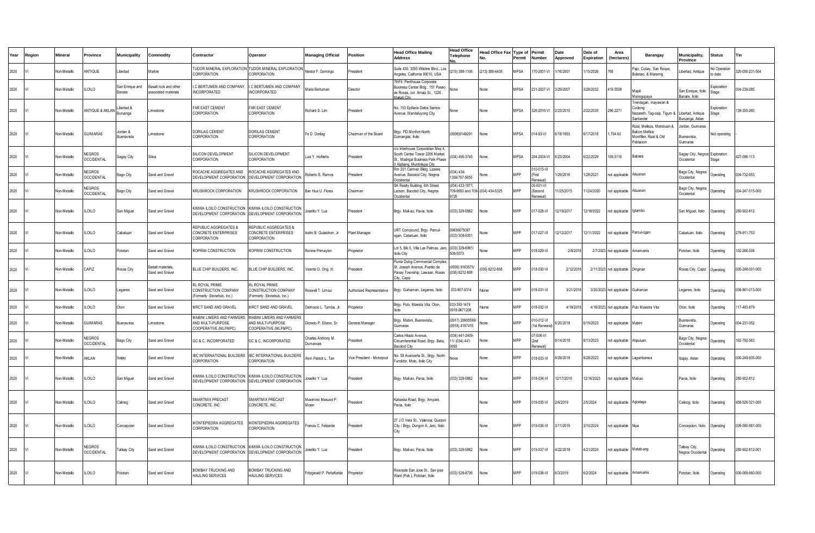| Year | Region | Mineral             | Province                           | Municipality                     | Commodit v                                    | Contractor                                                                                             | Operator                                                                    | <b>Managing Official</b>       | Position                   | lead Office Mailing<br><b>Address</b>                                                                                               | <b>Head Office</b><br><b>Telephone</b>                  | lead Office Fax | Type of<br>ermit | Permit<br>Number                | Date<br>Approved | Date of<br>Expiration | Area<br>hectares         | Barangay                                                                              | Municipality,<br>Province                    | <b>Status</b>               | Tin             |
|------|--------|---------------------|------------------------------------|----------------------------------|-----------------------------------------------|--------------------------------------------------------------------------------------------------------|-----------------------------------------------------------------------------|--------------------------------|----------------------------|-------------------------------------------------------------------------------------------------------------------------------------|---------------------------------------------------------|-----------------|------------------|---------------------------------|------------------|-----------------------|--------------------------|---------------------------------------------------------------------------------------|----------------------------------------------|-----------------------------|-----------------|
| 2020 |        | <b>Von-Metallic</b> | <b>NTIQUE</b>                      | ibertad                          | Marble                                        | TUDOR MINERAL EXPLORATION<br>CORPORATION                                                               | TUDOR MINERAL EXPLORATION<br>CORPORATION                                    | Nestor F. Domingo              | President                  | Suite 430, 3055 Wilshire Blvd., Los<br>Angeles, California 90010, USA                                                               | 213) 388-1106                                           | (213) 388-4438  | <b>APSA</b>      | 70-2001-VI                      | 16/2001          | /15/2026              | 768                      | aio. Cubav. San Roque<br>Bulanao, & Maramig                                           | Libertad, Antique                            | No Operation<br>o date      | 320-000-231-504 |
| 2020 |        | Non-Metallic        | <b>LOILO</b>                       | San Enrique and<br><b>Banate</b> | Basalt rock and other<br>associated materials | C BERTUMEN AND COMPANY<br><b>INCORPORATED</b>                                                          | I.C BERTUMEN AND COMPANY<br>NCORPORATED                                     | Mario Bertumen                 | Director                   | 7thFir. Penthouse Corporate<br>Business Center Bldg., 151 Paseo<br>de Roxas, cor. Amaiz St., 1226<br>akati City                     | lone                                                    | <b>None</b>     | <b>MPSA</b>      | 231-2007-VI                     | 3/29/2007        | 3/28/2032             | 419.5508                 | Mapili<br>Manogopaya                                                                  | San Enrique, Iloilo<br>Banate, Iloilo        | <b>Exploration</b><br>Stage | 004-239-285     |
| 2020 |        | Non-Metallic        | ANTIQUE & AKLAN                    | lbertad &<br><b>Buruanga</b>     | Limestone                                     | FAR EAST CEMENT<br>CORPORATION                                                                         | FAR EAST CEMENT<br>CORPORATION                                              | Richard S. Lim                 | President                  | lo. 153 Epifanio Delos Santos<br>Avenue, Mandaluyong City                                                                           | one                                                     | None            | MPSA             | 326-2010-VI                     | 2/23/2010        | 2/22/2035             | 296.2271                 | inindugan, Inayawan &<br>Codiong<br>Vazareth, Tag-osip, Tigum &<br>Santander          | Libertad, Antique<br>Buruanga, Aklan         | <b>Exploration</b><br>tage  | 139-355-260     |
| 2020 |        | Non-Metallic        | <b>GUIMARAS</b>                    | Jordan &<br><b>Buenavista</b>    | Limestone                                     | <b>DORILAG CEMENT</b><br>CORPORATION                                                                   | DORILAG CEMENT<br>CORPORATION                                               | Fe D. Dorilag                  | Chairman of the Board      | 3rgy. PD Monfort-North,<br>Dumangas, Iloilo                                                                                         | 0908)9149291                                            | None            | MPSA             | 014-93-VI                       | 3/18/1993        | 6/17/2018             | ,794.60                  | Rizal, Melleza, Morobuan &<br>Balcon Melliza;<br>Montfiller, Rizal & Old<br>Poblacion | Jordan, Guimaras<br>uenavista,<br>Guimaras   | lot operating               |                 |
| 2020 |        | <b>Von-Metallic</b> | <b>VEGROS</b><br><b>OCCIDENTAL</b> | Sagay City                       | Silica                                        | SILICON DEVELOPMENT<br>CORPORATION                                                                     | SILICON DEVELOPMENT<br>CORPORATION                                          | Luis Y. Hofileña               | President                  | /o Interhouse Corporation Mez 4,<br>South Center Tower 2206 Market<br>St., Madrigal Business Park Phase<br>Alabang, Muntinlupa City | 34) 495-3745                                            | None            | <b>MPSA</b>      | 204-2004-VI                     | 6/23/2004        | 6/22/2029             | 109.5116                 | Babiera                                                                               | Sagay City, Negros Exploration<br>Occidental | Stage                       | 427-096-113     |
| 2020 |        | Non-Metallic        | <b>NEGROS</b><br><b>OCCIDENTAL</b> | Bago City                        | Sand and Gravel                               | ROCACHE AGGREGATES AND<br>DEVELOPMENT CORPORATION                                                      | ROCACHE AGGREGATES AND<br>DEVELOPMENT CORPORATION                           | Roberto S. Ramos               | President                  | Rm 201 Carmen Bildg, Lizares<br>venue, Bacolod City, Negros<br>ccidental                                                            | 34) 434-<br>359/707-5655                                |                 | MPP              | 010-013-VI<br>(First<br>enewal  | /29/2016         | 1/28/2021             | ot applicable            | Abuanan                                                                               | Bago City, Negros<br>Occidental              | Operating                   | 04-732-653      |
| 2020 |        | Non-Metallic        | <b>VEGROS</b><br><b>OCCIDENTAL</b> | Bago City                        | Sand and Gravel                               | KRUSHROCK CORPORATION                                                                                  | KRUSHROCK CORPORATION                                                       | Ban Hua U. Flores              | Chairman                   | SK Realty Building, 6th Street<br>acson, Bacolod City, Negros<br>ccidental                                                          | 034) 433-1871<br>09-9650 and 709- (034) 434-5325<br>726 |                 | MPP              | 05-001-VI<br>(Second<br>enewal' | 1/25/2015        | 11/24/2020            | ot applicable            | Ahuanan                                                                               | Bago City, Negros<br>Occidental              | perating                    | 004-247-515-000 |
| 2020 |        | Non-Metallic        | <b>ILOILO</b>                      | San Miguel                       | Sand and Gravel                               | KIMWA ILOILO CONSTRUCTION<br>DEVELOPMENT CORPORATION                                                   | KIMWA ILOILO CONSTRUCTION<br>DEVELOPMENT CORPORATION                        | Joselito Y. Lua                | President                  | Brgy. Mali-ao, Pavia, Iloilo                                                                                                        | (033) 329-5862                                          | None            | <b>MPP</b>       | 017-028-VI                      | 12/19/2017       | 12/18/2022            | not applicable           | lotambo                                                                               | San Miguel, Iloilo                           | Operating                   | 280-902-812     |
| 2020 |        | Non-Metallic        | <b>ILOILO</b>                      | Cabatuan                         | Sand and Gravel                               | <b>REPUBLIC AGGREGATES &amp;</b><br>CONCRETE ENTERPRISES<br><b>CORPORATION</b>                         | REPUBLIC AGGREGATES &<br><b>CONCRETE ENTERPRISES</b><br>CORPORATION         | Isidro B. Quiatchon, Jr.       | Plant Manager              | URT Compound, Brgy. Pamul-<br>ogan, Cabatuan, Iloilo                                                                                | 9636675087<br>033) 509-0051                             | None            | MPP              | 017-027-VI                      | 12/12/2017       | 12/11/2022            | not applicable           | Pamul-ogan                                                                            | Cabatuan, Iloilo                             | berating                    | 279-911-753     |
| 2020 |        | Non-Metallic        | <b>ILOILO</b>                      | Pototan                          | Sand and Gravel                               | ROPRIM CONSTRUCTION                                                                                    | ROPRIM CONSTRUCTION                                                         | Ronnie Primavlon               | Proprietor                 | ot 5, Blk 5, Villa Las Palmas, Jaro,<br>Iloilo City                                                                                 | (033) 329-6991/<br>608-5573                             | None            | MPP              | 018-029-VI                      | 2/8/2018         | 2/7/2023              | not applicable           | Amamaros                                                                              | Pototan, Iloilo                              | perating                    | 102-266-508     |
| 2020 |        | Non-Metallic        | CAPIZ                              | <b>Roxas City</b>                | Basalt materials<br>Sand and Grave            | BLUE CHIP BUILDERS, INC.                                                                               | BLUE CHIP BUILDERS, INC.                                                    | Vicente D. Ong, III            | President                  | unta Dulog Commercial Comple:<br>St. Joseph Avenue, Pueblo de<br>Panay Township, Lawaan, Roxas<br>ity. Caniz                        | 939) 9163575/<br>036) 6212-808                          | (036) 6212-808  | MPP              | 018-030-VI                      | 2/12/2018        |                       | 2/11/2023 not applicable | Dinginar                                                                              | Roxas City, Capiz                            | Operating                   | 005-248-001-000 |
| 2020 |        | Non-Metallic        | <b>ILOILO</b>                      | eganes                           | Sand and Gravel                               | <b>RL ROYAL PRIME</b><br>CONSTRUCTION COMPANY<br>Formerly: Stonehub, Inc.)                             | <b>RL ROYAL PRIME</b><br>CONSTRUCTION COMPANY<br>(Formerly: Stonehub, Inc.) | Roswell T. Limsui              | Authorized Representative  | Brgy. Guihaman, Leganes, Iloilo                                                                                                     | 033-857-9314                                            | None            | MPP              | 018-031-VI                      | 3/21/2018        | 3/20/2023             | not applicable           | Guihaman                                                                              | Leganes, Iloilo                              | Operating                   | 008-861-013-000 |
| 2020 |        | <b>Von-Metallic</b> | <b>ILOILO</b>                      | ton                              | Sand and Gravel                               | MRCT SAND AND GRAVEL                                                                                   | MRCT SAND AND GRAVEL                                                        | Dalmacio L. Tamba, Jr.         | roprietor                  | Brgy. Pulo, Maesta Vita, Oton,<br>lniln.                                                                                            | 033-393-1474<br>0918-9671208                            | None            | MPP              | 18-032-VI                       | 4/19/2018        | 4/18/202              | not applicable           | Pulo Maestra Vita                                                                     | Oton, Iloilo                                 | Operating                   | 17-493-879      |
| 2020 |        | Non-Metallic        | <b>GUIMARAS</b>                    | <b>Buenavista</b>                | Limestone                                     | MABINI LIMERS AND FARMERS<br>AND MULTI-PURPOSE<br>COOPERATIVE (MLFMPC)                                 | MABINI LIMERS AND FARMERS<br>AND MULTI-PURPOSE<br>COOPERATIVE (MLFMPC)      | Dioneto P. Eñano, Sr.          | General Manager            | Brgy. Mabini, Buenavista,<br>Guimaras                                                                                               | (0917) 20905599<br>(0918) 4197415                       | None            | MPP              | 010-012-VI<br>1st Renewal       | /20/2018         | 6/19/2023             | not applicable           | Mabini                                                                                | <b>Buenavista</b><br>Guimaras                | Operating                   | 004-231-052     |
| 2020 |        | <b>Von-Metallic</b> | NEGROS<br><b>OCCIDENTAL</b>        | Bago City                        | Sand and Gravel                               | GC & C, INCORPORATED                                                                                   | GC & C, INCORPORATED                                                        | Charles Anthony M.<br>Dumancas | resident                   | Carlos Hilado Avenue,<br>Circumferential Road, Brgy. Bata,<br>Bacolod City                                                          | 034) 441-2409<br>1/ (034) 441-<br>693                   | None            | MPP              | 07-006-VI<br>Renewall           | /14/2018         | 8/13/2023             | ot applicable            | Atipuluan                                                                             | Bago City, Negros<br>Occidental              | Operating                   | 162-792-563     |
| 2020 |        | Non-Metallic        | <b>KLAN</b>                        | bajay                            | Sand and Gravel                               | IBC INTERNATIONAL BUILDERS<br>CORPORATION                                                              | IBC INTERNATIONAL BUILDERS<br>CORPORATION                                   | Alvin Patrick L. Tan           | Vice President - Motorpool | No. 58 Avanceña St., Brgy. North<br>undidor, Molo, Iloilo City                                                                      | None                                                    | None            | MPP              | 018-033-VI                      | 3/29/2018        | 8/28/2023             | ot applicable            | Laguinbanwa                                                                           | Ibajay, Aklan                                | berating                    | 000-249-935-000 |
| 2020 |        | Non-Metallic        | <b>ILOILO</b>                      | San Miguel                       | Sand and Gravel                               | KIMWA ILOILO CONSTRUCTION KIMWA ILOILO CONSTRUCTION<br>DEVELOPMENT CORPORATION DEVELOPMENT CORPORATION |                                                                             | Joselito Y. Lua                | President                  | Brgy. Mali-ao, Pavia, Iloilo                                                                                                        | (033) 329-5862                                          | None            | MPP              | 018-034-VI                      | 12/17/2018       | 12/16/2023            | not applicable           | Mali-ao                                                                               | Pavia, Iloilo                                | Operating                   | 280-902-812     |
| 2020 |        | Non-Metallic        | <b>ILOILO</b>                      | Calinog                          | Sand and Gravel                               | SMARTMIX PRECAST<br>CONCRETE, INC                                                                      | <b>SMARTMIX PRECAST</b><br>CONCRETE, INC                                    | Maximino Masuod P<br>Moein     | President                  | Kabaska Road, Brgy. Amparo,<br>Pavia, Iloilo                                                                                        |                                                         | None            | MPP              | 019-035-VI                      | 2/6/2019         | 2/5/2024              | not applicable           | Agcalaga                                                                              | Calinog, Iloilo                              | Operating                   | 458-526-321-000 |
| 2020 |        | Non-Metallic        | <b>ILOILO</b>                      | Concepcion                       | Sand and Gravel                               | MONTEPIEDRA AGGREGATES<br>CORPORATION                                                                  | MONTEPIEDRA AGGREGATES<br>CORPORATION                                       | Francis C. Felizardo           | President                  | 27 J.O Vera St., Valencia, Quezor<br>City / Brgy. Dungon A, Jaro, Iloilo                                                            |                                                         | None            | MPP              | 019-036-VI                      | 3/11/2019        | 3/10/2024             | not applicable           | Nina                                                                                  | Concepcion, Iloilo                           | Operating                   | 009-580-981-000 |
| 2020 |        | Non-Metallic        | NEGROS<br><b>OCCIDENTAL</b>        | alisay City                      | Sand and Gravel                               | KIMWA ILOILO CONSTRUCTION<br>DEVELOPMENT CORPORATION                                                   | KIMWA ILOILO CONSTRUCTION<br>DEVELOPMENT CORPORATION                        | Joselito Y. Lua                | President                  | Brgy. Mali-ao, Pavia, Iloilo                                                                                                        | (033) 329-5862                                          | None            | MPP              | 019-037-VI                      | 4/22/2019        | 4/21/2024             | not applicable           | Matab-ang                                                                             | Talisay City,<br>Negros Occidental           | perating                    | 280-902-812-001 |
| 2020 |        | Non-Metallic        | <b>ILOILO</b>                      | Pototan                          | Sand and Gravel                               | BOMBAY TRUCKING AND<br>HAULING SERVICES                                                                | <b>BOMBAY TRUCKING AND</b><br><b>HAULING SERVICES</b>                       | Fritzgerald P. Peñaflorida     | Proprietor                 | Riverside San Jose St., San jose<br>Ward (Pob.), Pototan, Iloilo                                                                    | 033) 529-8736                                           | None            | <b>MPP</b>       | 019-038-VI                      | 6/3/2019         | 6/2/2024              | not applicable           | Amamaros                                                                              | Pototan, Iloilo                              | Operating                   | 000-069-660-000 |